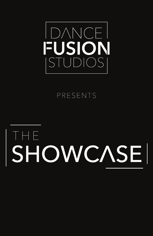

### PRESENTS

# Saturday, June 18, SHOWCASE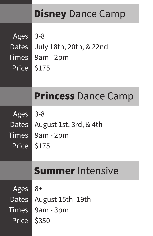|              | <b>Disney</b> Dance Camp   |
|--------------|----------------------------|
| Ages         | $3 - 8$                    |
| Dates        | July 18th, 20th, & 22nd    |
| Times        | $9am - 2pm$                |
| <b>Price</b> | \$175                      |
|              | <b>Princess Dance Camp</b> |
| Ages         | $3 - 8$                    |
| Dates        | August 1st, 3rd, & 4th     |
| <b>Times</b> | $9am - 2pm$                |
| Price        | \$175                      |
|              | <b>Summer Intensive</b>    |
| Ages         | 8+                         |
| Dates        | August 15th–19th           |
| <b>Times</b> | $9am - 3pm$                |
| Price        | \$350                      |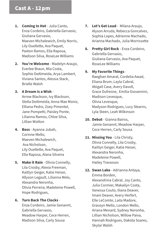- **1. Coming In Hot** Julia Canto, Enza Cordeiro, Gabriella Gervasio, Giuliana Gervasio, Maeven Michalewich, Emily Norris, Lily Ouellette, Ava Paquet, Paxton Ramos, Ella Raposa, Madison Silva, RoseLee Williams
- **2. You're Welcome**  Madelyn Araujo, Everlee Braun, Mia Costa, Sophie DeAlmeida, Arya Lambert, Viviana Santos, Alessia Stack, Brielle Walsh
- **3. A Dream is a Wish**  Arrow Blackson, Ivy Blackson, Stella DeAlmeida, Anna-Mae Moniz, Elliana Pedro, Zoey Pimentel, Jane Pompetti, Paisley Ponte, Lilianna Ramos, Chloe Silva, Lillian Wotton
- **4. Boss**  Ayanna Jubah, Corinne Mello, Maeven Michalewich, Ava Nicholson, Lily Ouellette, Ava Paquet, Ella Raposa, Alana Silveira
- **5. Make it Rain** Olivia Connelly, Lila Crosby, Alexia Freeman, Kaitlyn Geiger, Katie Heiser, Allyson Legault, Lilianna Melo, Alexandra Neronha, Olivia Perreira, Madeleine Powell, Hope Rodrigues,
- **6. Turn Back The Clocks** Enza Cordeiro, Jamie Genannt, Gabriella Gervasio, Meadow Harper, Cece Herren, Madison Silva, Carly Sousa
- **7. Let's Get Loud**  Milana Araujo, Alyson Arruda, Rebecca Goncalves, Sophia Lopes, Adrienne Machado, Arianna Machado, Julia Morrissette
- **8. Pretty Girl Rock** Enza Cordeiro, Gabriella Gervasio, Giuliana Gervasio, Ava Paquet, RoseLee Williams
- **9. My Favorite Things** Raeghan Amaral, Cordelia Awad, Eliana Brum, Layla Cabral, Abigail Case, Avery Davoll, Grace Dufresne, Emilia Giovannini, Madison Levesque, Olivia Levesque, Madyson Rodrigues, Lucy Stearns, Lyla Steen, Leah Wilkinson
- **10. Debut** Gianna Bairos, Jamie Genannt, Meadow Harper, Cece Herren, Carly Sousa
- **11. Missing You** Lila Christy, Olivia Connelly, Lila Crosby, Kaitlyn Geiger, Katie Heiser, Alexandra Neronha, Madeleine Powell, Hailey Travassos
- **12. Swan Lake** Adrianna Antaya, Emma Borden, Alexandrina Cabral, Joy Canto, Julia Cormier, Makailyn Costa, Vanessa Couto, Iliana Deaver, Imani Deaver, Avery Herfert, Elle LeComte, Laila Madore, Graceyn Mello, London Mello, Ariana Menard, Sydney Neronha, Lillian Nicholson, Willow Paiva, Hannah Rodrigues, Dakota Soares, Skylar Walsh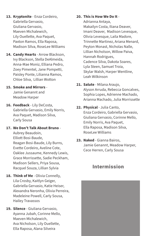- **13. Kryptonite** Enza Cordeiro, Gabriella Gervasio, Giuliana Gervasio, Maeven Michalewich, Lily Ouellette, Ava Paquet, Paxton Ramos, Ella Raposa, Madison SIlva, RoseLee Williams
- **14. Candy Hearts** Arrow Blackson, Ivy Blackson, Stella DeAlmeida, Anna-Mae Moniz, Elliana Pedro, Zoey Pimentel, Jane Pompetti, Paisley Ponte, Lilianna Ramos, Chloe Silva, Lillian Wotton

#### **15. Smoke and Mirrors** - Jamie Genannt and

Meadow Harper

**16. Feedback** - Lily DeCosta, Gabriella Gervasio, Emily Norris, Ava Paquet, Madison Silva, Carly Sousa

#### **17. We Don't Talk About Bruno** -

Aubrey Beaudoin, Elliott Bosi-Baude, Reagan Bosi-Baude, Lily Burns, Evette Cordeiro, Aveline Cote, Oaklee Jussaume, Kennedy Lewis, Grace Morrissette, Sadie Peckham, Madison Sellers, Priya Sousa, Racquel Souza, Lillian Sylvia

- **18. Think of Me** Olivia Connelly, Lila Crosby, Kaitlyn Geiger, Gabriella Gervasio, Katie Heiser, Alexandra Neronha, Olivia Perreira, Madeleine Powell, Carly Sousa, Hailey Travassos
- **19. Silence**  Giuliana Gervasio, Ayanna Jubah, Corinne Mello, Maeven Michalewich, Ava Nicholson, Lily Ouellette, Ella Raposa, Alana Silveira

#### **20. This is How We Do It** -

Adrianna Antaya, Makailyn Costa, Iliana Deaver, Imani Deaver, Madison Levesque, Olivia Levesque, Laila Madore, Trinnette Martinez, Ariana Menard, Peyton Monast, Nicholas Nalle, Lillian Nicholson, Willow Paiva, Hannah Rodrigues, Cadence Silva, Dakota Soares, Lyla Steen, Samuel Troia, Skylar Walsh, Harper Wentline, Leah Wilkinson

**21. Salute** - Milana Araujo, Alyson Arruda, Rebecca Goncalves, Sophia Lopes, Adrienne Machado, Arianna Machado, Julia Morrissette

#### **22. Physical** - Julia Canto,

Enza Cordeiro, Gabriella Gervasio, Giuliana Gervasio, Corinne Mello, Emily Norris, Ava Paquet, Ella Raposa, Madison Silva, RoseLee Williams

#### **23. Naked** - Gianna Bairos, Jamie Genannt, Meadow Harper, Cece Herren, Carly Sousa

#### Intermission

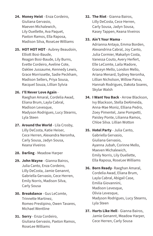- **24. Money Heist** Enza Cordeiro, Giuliana Gervasio, Maeven Michalewich, Lily Ouellette, Ava Paquet, Paxton Ramos, Ella Raposa, Madison Silva, RoseLee Williams
- **25. HOT HOT HOT** Aubrey Beaudoin, Elliott Bosi-Baude, Reagan Bosi-Baude, Lily Burns, Evette Cordeiro, Aveline Cote, Oaklee Jussaume, Kennedy Lewis, Grace Morrissette, Sadie Peckham, Madison Sellers, Priya Sousa, Racquel Souza, Lillian Sylvia
- **26. I'll Never Love Again** -

Raeghan Amaral, Cordelia Awad, Eliana Brum, Layla Cabral, Madison Levesque, Madyson Rodrigues, Lucy Stearns, Lyla Steen

- **27. Around the World**  Lila Crosby, Lilly DeCosta, Katie Heiser, Cece Herren, Alexandra Neronha, Carly Sousa, Jadyn Sousa, Keana Viveiros
- **28. Darling** Meadow Harper
- **29. John Wayne** Gianna Bairos, Julia Canto, Enza Cordeiro, Lilly DeCosta, Jamie Genannt, Gabriella Gervasio, Cece Herren, Emily Norris, Madison Silva, Carly Sousa
- **30. Breakdance** Gus LeComte, Trinnette Martinez, Romeo Prestipino, Owen Tavares, Michael Wentline
- **31. Sorry** Enza Cordeiro, Giuliana Gervasio, Paxton Ramos, RoseLee Williams
- **32. The Riot** Gianna Bairos, Lilly DeCosta, Cece Herren, Carly Sousa, Jadyn Sousa, Kasey Tappen, Keana Viveiros
- **33. Ain't Your Mama** -

Adrianna Antaya, Emma Borden, Alexandrina Cabral, Joy Canto, Julia Cormier, Makailyn Costa, Vanessa Couto, Avery Herfert, Elle LeComte, Laila Madore, Graceyn Mello, London Mello, Ariana Menard, Sydney Neronha, Lillian Nicholson, Willow Paiva, Hannah Rodrigues, Dakota Soares, Skylar Walsh

- **34. I Want You Back** Arrow Blackson, Ivy Blackson, Stella DeAlmeida, Anna-Mae Moniz, Elliana Pedro, Zoey Pimentel, Jane Pompetti, Paisley Ponte, Lilianna Ramos, Chloe Silva. Lillian Wotton
- **35. Hotel Party** Julia Canto, Gabriella Gervasio, Giuliana Gervasio, Ayanna Jubah, Corinne Mello, Maeven Michalewich, Emily Norris, Lily Ouellette, Ella Raposa, RoseLee Williams
- **36. Born Ready** Raeghan Amaral, Cordelia Awad, Eliana Brum, Layla Cabral, Abigail Case, Emilia Giovannini, Madison Levesque, Olivia Levesque, Madyson Rodrigues, Lucy Stearns, Lyla Steen
- **37. Hurts Like Hell**  Gianna Bairos, Jamie Genannt, Meadow Harper, Cece Herren, Carly Sousa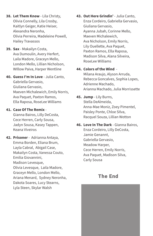- **38. Let Them Know** Lila Christy, Olivia Connelly, Lila Crosby, Kaitlyn Geiger, Katie Heiser, Alexandra Neronha, Olivia Perreira, Madeleine Powell, Hailey Travassos
- **39. Sax** Makailyn Costa, Ava Dumoulin, Avery Herfert, Laila Madore, Graceyn Mello, London Mello, Lillian Nicholson, WIllow Paiva, Harper Wentline
- **40. Guess I'm In Love** Julia Canto, Gabriella Gervasio, Giuliana Gervasio, Maeven Michalewich, Emily Norris, Ava Paquet, Paxton Ramos, Ella Raposa, RoseLee Williams
- **41. Case Of The Remix** -

Gianna Bairos, Lilly DeCosta, Cece Herren, Carly Sousa, Jadyn Sousa, Kasey Tappen, Keana Viveiros

**42. Prisoner** - Adrianna Antaya, Emma Borden, Eliana Brum, Layla Cabral, Abigail Case, Makailyn Costa, Vanessa Couto, Emilia Giovannini, Madison Levesque, Olivia Levesque, Laila Madore, Graceyn Mello, London Mello, Ariana Menard, Sydney Neronha, Dakota Soares, Lucy Stearns, Lyla Steen, Skylar Walsh

- **43. Out Here Grindin'** Julia Canto, Enza Cordeiro, Gabriella Gervasio, Giuliana Gervasio, Ayanna Jubah, Corinne Mello, Maeven Michalewich, Ava Nicholson, Emily Norris, Lily Ouellette, Ava Paquet, Paxton Ramos, Ella Raposa, Madison Silva, Alana Silveira, RoseLee Williams
- **44. Colors of the Wind** -

Milana Araujo, Alyson Arruda, Rebecca Goncalves, Sophia Lopes, Adrienne Machado, Arianna Machado, Julia Morrissette

- **45. Jump** Lily Burns, Stella DeAlmeida, Anna-Mae Moniz, Zoey Pimentel, Paisley Ponte, Chloe SIlva, Racquel Souza, Lillian Wotton
- **46. Love In The Dark** Gianna Bairos, Enza Cordeiro, Lilly DeCosta, Jamie Genannt, Gabriella Gervasio, Meadow Harper, Cece Herren, Emily Norris, Ava Paquet, Madison Silva, Carly Sousa

#### The End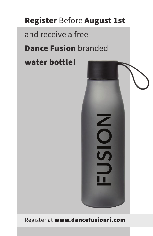## Register Before August 1st

## and receive a free

## Dance Fusion branded

## water bottle!



#### Register at www.dancefusionri.com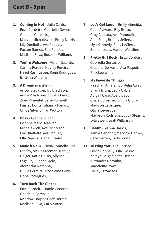#### Cast B - 5 pm

- **1. Coming In Hot** Julia Canto, Enza Cordeiro, Gabriella Gervasio, Giuliana Gervasio, Maeven Michalewich, Emily Norris, Lily Ouellette, Ava Paquet, Paxton Ramos, Ella Raposa, Madison Silva, RoseLee Williams
- **2. You're Welcome** Vivian Galante, Camila Pereira, Hayley Pereira, Hazel Rasmussen, Remi Rodrigues, Britlynn Williams

#### **3. A Dream is a Wish** -

Arrow Blackson, Ivy Blackson, Anna-Mae Moniz, Elliana Pedro, Zoey Pimentel, Jane Pompetti, Paisley Ponte, Lilianna Ramos, Chloe Silva. Lillian Wotton

- **4. Boss** Ayanna Jubah, Corinne Mello, Maeven Michalewich, Ava Nicholson, Lily Ouellette, Ava Paquet, Ella Raposa, Alana Silveira
- **5.** Make it Rain Olivia Connelly, Lila Crosby, Alexia Freeman, Kaitlyn Geiger, Katie Heiser, Allyson Legault, Lilianna Melo, Alexandra Neronha, Olivia Perreira, Madeleine Powell, Hope Rodrigues,

#### **6. Turn Back The Clocks** - Enza Cordeiro, Jamie Genannt, Gabriella Gervasio, Meadow Harper, Cece Herren, Madison Silva, Carly Sousa

- **7. Let's Get Loud** Emily Almeida, Catia Aylward, Bay Britto, Gray Cantara, Ava Dumoulin, Aura Frias, Brinley Jeffers, Mya Kennedy, Riley LeClerc, Sophia Louis, Harper Wentline
- **8. Pretty Girl Rock** Enza Cordeiro, Gabriella Gervasio, Giuliana Gervasio, Ava Paquet, RoseLee Williams

#### **9. My Favorite Things** -

Raeghan Amaral, Cordelia Awad, Eliana Brum, Layla Cabral, Abigail Case, Avery Davoll, Grace Dufresne, Emilia Giovannini, Madison Levesque, Olivia Levesque, Madyson Rodrigues, Lucy Stearns, Lyla Steen, Leah Wilkinson

- **10. Debut** Gianna Bairos, Jamie Genannt, Meadow Harper, Cece Herren, Carly Sousa
- **11. Missing You**  Lila Christy, Olivia Connelly, Lila Crosby, Kaitlyn Geiger, Katie Heiser, Alexandra Neronha, Madeleine Powell, Hailey Travassos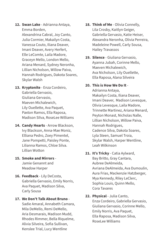- **12. Swan Lake** Adrianna Antaya, Emma Borden, Alexandrina Cabral, Joy Canto, Julia Cormier, Makailyn Costa, Vanessa Couto, Iliana Deaver, Imani Deaver, Avery Herfert, Elle LeComte, Laila Madore, Graceyn Mello, London Mello, Ariana Menard, Sydney Neronha, Lillian Nicholson, Willow Paiva, Hannah Rodrigues, Dakota Soares, Skylar Walsh
- **13. Kryptonite** Enza Cordeiro, Gabriella Gervasio, Giuliana Gervasio, Maeven Michalewich, Lily Ouellette, Ava Paquet, Paxton Ramos, Ella Raposa, Madison SIlva, RoseLee Williams
- **14. Candy Hearts** Arrow Blackson, Ivy Blackson, Anna-Mae Moniz, Elliana Pedro, Zoey Pimentel, Jane Pompetti, Paisley Ponte, Lilianna Ramos, Chloe Silva. Lillian Wotton
- **15. Smoke and Mirrors** Jamie Genannt and Meadow Harper
- **16. Feedback**  Lily DeCosta, Gabriella Gervasio, Emily Norris, Ava Paquet, Madison Silva, Carly Sousa
- **17. We Don't Talk About Bruno**  Sadie Amaral, Annabeth Camara, Mila DeMello, Remi DeMello, Aria Desmarais, Madison Mudd, Rhodes Rimmer, Bella Riquelme, Alivia Silveira, Sofia Sullivan, Kenslee Trial, Lucy Wentline
- **18. Think of Me**  Olivia Connelly, Lila Crosby, Kaitlyn Geiger, Gabriella Gervasio, Katie Heiser, Alexandra Neronha, Olivia Perreira, Madeleine Powell, Carly Sousa, Hailey Travassos
- **19. Silence** Giuliana Gervasio, Ayanna Jubah, Corinne Mello, Maeven Michalewich, Ava Nicholson, Lily Ouellette, Ella Raposa, Alana Silveira

#### **20. This is How We Do It** -

Adrianna Antaya, Makailyn Costa, Iliana Deaver, Imani Deaver, Madison Levesque, Olivia Levesque, Laila Madore, Trinnette Martinez, Ariana Menard, Peyton Monast, Nicholas Nalle, Lillian Nicholson, Willow Paiva, Hannah Rodrigues, Cadence Silva, Dakota Soares, Lyla Steen, Samuel Troia, Skylar Walsh, Harper Wentline, Leah Wilkinson

**21. It's Tricky** - Catia Aylward,

Bay Britto, Gray Cantara, Aubree DeAlmeida, Avriana DeAlmeida, Ava Dumoulin, Aura Frias, Mackenzie Hatzberger, Mya Kennedy, Riley LeClerc, Sophia Louis, Quinn Mello, Cora Tavares

**22. Physical** - Julia Canto, Enza Cordeiro, Gabriella Gervasio, Giuliana Gervasio, Corinne Mello, Emily Norris, Ava Paquet, Ella Raposa, Madison Silva, RoseLee Williams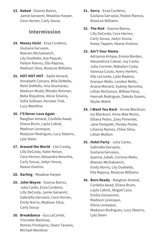**23. Naked** - Gianna Bairos, Jamie Genannt, Meadow Harper, Cece Herren, Carly Sousa

#### Intermission

- **24. Money Heist**  Enza Cordeiro, Giuliana Gervasio, Maeven Michalewich, Lily Ouellette, Ava Paquet, Paxton Ramos, Ella Raposa, Madison Silva, RoseLee Williams
- **25. HOT HOT HOT** Sadie Amaral, Annabeth Camara, Mila DeMello, Remi DeMello, Aria Desmarais, Madison Mudd, Rhodes Rimmer, Bella Riquelme, Alivia Silveira, Sofia Sullivan, Kenslee Trial, Lucy Wentline
- **26. I'll Never Love Again** -

Raeghan Amaral, Cordelia Awad, Eliana Brum, Layla Cabral, Madison Levesque, Madyson Rodrigues, Lucy Stearns, Lyla Steen

- **27. Around the World** Lila Crosby, Lilly DeCosta, Katie Heiser, Cece Herren, Alexandra Neronha, Carly Sousa, Jadyn Sousa, Keana Viveiros
- **28. Darling** Meadow Harper
- **29. John Wayne** Gianna Bairos, Julia Canto, Enza Cordeiro, Lilly DeCosta, Jamie Genannt, Gabriella Gervasio, Cece Herren, Emily Norris, Madison Silva, Carly Sousa
- **30. Breakdance**  Gus LeComte, Trinnette Martinez, Romeo Prestipino, Owen Tavares, Michael Wentline
- **31. Sorry** Enza Cordeiro, Giuliana Gervasio, Paxton Ramos, RoseLee Williams
- **32. The Riot** Gianna Bairos, Lilly DeCosta, Cece Herren, Carly Sousa, Jadyn Sousa, Kasey Tappen, Keana Viveiros

#### **33. Ain't Your Mama** -

Adrianna Antaya, Emma Borden, Alexandrina Cabral, Joy Canto, Julia Cormier, Makailyn Costa, Vanessa Couto, Avery Herfert, Elle LeComte, Laila Madore, Graceyn Mello, London Mello, Ariana Menard, Sydney Neronha, Lillian Nicholson, Willow Paiva, Hannah Rodrigues, Dakota Soares, Skylar Walsh

- **34. I Want You Back** Arrow Blackson, Ivy Blackson, Anna-Mae Moniz, Elliana Pedro, Zoey Pimentel, Jane Pompetti, Paisley Ponte, Lilianna Ramos, Chloe Silva, Lillian Wotton
- **35. Hotel Party** Julia Canto, Gabriella Gervasio, Giuliana Gervasio, Ayanna Jubah, Corinne Mello, Maeven Michalewich, Emily Norris, Lily Ouellette, Ella Raposa, RoseLee Williams
- **36. Born Ready** Raeghan Amaral, Cordelia Awad, Eliana Brum, Layla Cabral, Abigail Case, Emilia Giovannini, Madison Levesque, Olivia Levesque, Madyson Rodrigues, Lucy Stearns, Lyla Steen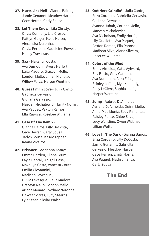- **37. Hurts Like Hell**  Gianna Bairos, Jamie Genannt, Meadow Harper, Cece Herren, Carly Sousa
- **38. Let Them Know** Lila Christy, Olivia Connelly, Lila Crosby, Kaitlyn Geiger, Katie Heiser, Alexandra Neronha, Olivia Perreira, Madeleine Powell, Hailey Travassos
- **39. Sax**  Makailyn Costa, Ava Dumoulin, Avery Herfert, Laila Madore, Graceyn Mello, London Mello, Lillian Nicholson, WIllow Paiva, Harper Wentline
- **40. Guess I'm In Love** Julia Canto, Gabriella Gervasio, Giuliana Gervasio, Maeven Michalewich, Emily Norris, Ava Paquet, Paxton Ramos, Ella Raposa, RoseLee Williams
- **41. Case Of The Remix** Gianna Bairos, Lilly DeCosta, Cece Herren, Carly Sousa, Jadyn Sousa, Kasey Tappen, Keana Viveiros
- **42. Prisoner** Adrianna Antaya, Emma Borden, Eliana Brum, Layla Cabral, Abigail Case, Makailyn Costa, Vanessa Couto, Emilia Giovannini, Madison Levesque, Olivia Levesque, Laila Madore, Graceyn Mello, London Mello, Ariana Menard, Sydney Neronha, Dakota Soares, Lucy Stearns, Lyla Steen, Skylar Walsh

**43. Out Here Grindin'** - Julia Canto, Enza Cordeiro, Gabriella Gervasio, Giuliana Gervasio, Ayanna Jubah, Corinne Mello, Maeven Michalewich, Ava Nicholson, Emily Norris, Lily Ouellette, Ava Paquet, Paxton Ramos, Ella Raposa, Madison Silva, Alana Silveira, RoseLee Williams

#### **44. Colors of the Wind** -

Emily Almeida, Catia Aylward, Bay Britto, Gray Cantara, Ava Dumoulin, Aura Frias, Brinley Jeffers, Mya Kennedy, Riley LeClerc, Sophia Louis, Harper Wentline

- **45. Jump** Aubree DeAlmeida, Avriana DeAlmeida, Quinn Mello, Anna-Mae Moniz, Zoey Pimental, Paisley Ponte, Chloe SIlva, Lucy Wentline, Owen Wilkinson, Lillian Wotton
- **46. Love In The Dark** Gianna Bairos, Enza Cordeiro, Lilly DeCosta, Jamie Genannt, Gabriella Gervasio, Meadow Harper, Cece Herren, Emily Norris, Ava Paquet, Madison Silva, Carly Sousa

#### The End